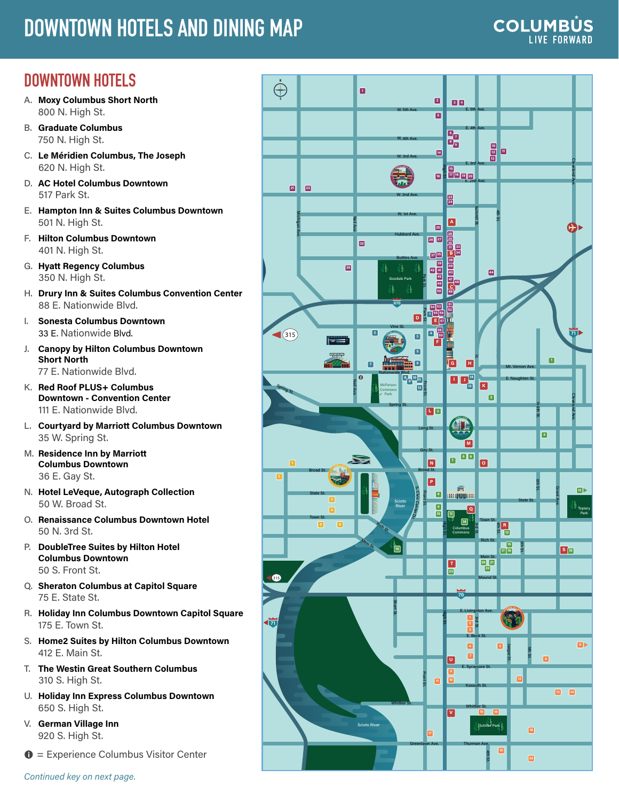# **DOWNTOWN HOTELS AND DINING MAP**

#### **COLUMBÚS LIVE FORWARD**

## **DOWNTOWN HOTELS**

- A. **[Moxy Columbus Short North](https://www.marriott.com/hotels/travel/cmhox-moxy-columbus-short-north/)** 800 N. High St.
- B. **[Graduate Columbus](https://www.graduatehotels.com/columbus/)** 750 N. High St.
- C. **[Le Méridien Columbus, The Joseph](https://www.marriott.com/hotels/travel/cmhdm-le-meridien-columbus-the-joseph/)** 620 N. High St.
- D. **[AC Hotel Columbus Downtown](https://www.marriott.com/hotels/travel/cmhad-ac-hotel-columbus-downtown/)** 517 Park St.
- E. **[Hampton Inn & Suites Columbus Downtown](https://www.hilton.com/en/hotels/cmhhshx-hampton-suites-columbus-downtown/)** 501 N. High St.
- F. **[Hilton Columbus Downtown](https://www.hilton.com/en/hotels/cmhdwhh-hilton-columbus-downtown/)** 401 N. High St.
- G. **[Hyatt Regency Columbus](https://www.hyatt.com/en-US/hotel/ohio/hyatt-regency-columbus/cmhrc)** 350 N. High St.
- H. **[Drury Inn & Suites Columbus Convention Center](https://www.druryhotels.com/locations/columbus-oh/drury-inn-and-suites-columbus-convention-center)** 88 E. Nationwide Blvd.
- I. **[Sonesta Columbus Downtown](https://www.sonesta.com/us/ohio/columbus/sonesta-columbus-downtown)** 33 E. Nationwide Blvd.
- J. **[Canopy by Hilton Columbus Downtown](https://www.hilton.com/en/hotels/cmhpypy-canopy-columbus-downtown-short-north/)  [Short North](https://www.hilton.com/en/hotels/cmhpypy-canopy-columbus-downtown-short-north/)** 77 E. Nationwide Blvd.
- K. **[Red Roof PLUS+ Columbus](https://www.redroof.com/property/oh/columbus/RRI262)  [Downtown - Convention Center](https://www.redroof.com/property/oh/columbus/RRI262)** 111 E. Nationwide Blvd.
- L. **[Courtyard by Marriott Columbus Downtown](https://www.marriott.com/hotels/travel/cmhcy-courtyard-columbus-downtown/)** 35 W. Spring St.
- M. **[Residence Inn by Marriott](https://www.marriott.com/hotels/travel/cmhrd-residence-inn-columbus-downtown/)  [Columbus Downtown](https://www.marriott.com/hotels/travel/cmhrd-residence-inn-columbus-downtown/)** 36 E. Gay St.
- N. **[Hotel LeVeque, Autograph Collection](https://www.marriott.com/hotels/travel/cmhak-hotel-leveque-autograph-collection/)** 50 W. Broad St.
- O. **[Renaissance Columbus Downtown Hotel](https://www.marriott.com/hotels/travel/cmhbr-renaissance-columbus-downtown-hotel/)** 50 N. 3rd St.
- P. **[DoubleTree Suites by Hilton Hotel](https://www.hilton.com/en/hotels/cmhsbdt-doubletree-suites-columbus-downtown/)  [Columbus Downtown](https://www.hilton.com/en/hotels/cmhsbdt-doubletree-suites-columbus-downtown/)** 50 S. Front St.
- Q. **[Sheraton Columbus at Capitol Square](https://www.marriott.com/hotels/travel/cmhcs-sheraton-columbus-hotel-at-capitol-square/)** 75 E. State St.
- R. **[Holiday Inn Columbus Downtown Capitol Square](https://www.ihg.com/holidayinn/hotels/us/en/columbus/cmhet/hoteldetail?cm_mmc=GoogleMaps-_-HI-_-US-_-CMHET)** 175 E. Town St.
- S. **[Home2 Suites by Hilton Columbus Downtown](https://www.hilton.com/en/hotels/lckcoht-home2-suites-columbus-downtown/)** 412 E. Main St.
- T. **[The Westin Great Southern Columbus](https://www.marriott.com/hotels/travel/cmhwi-the-westin-great-southern-columbus/)** 310 S. High St.
- U. **[Holiday Inn Express Columbus Downtown](https://www.ihg.com/holidayinnexpress/hotels/us/en/columbus/cmhhg/hoteldetail)** 650 S. High St.
- V. **[German Village Inn](http://www.germanvillageinn.net/)** 920 S. High St.
- $\bullet$  = Experience Columbus Visitor Center